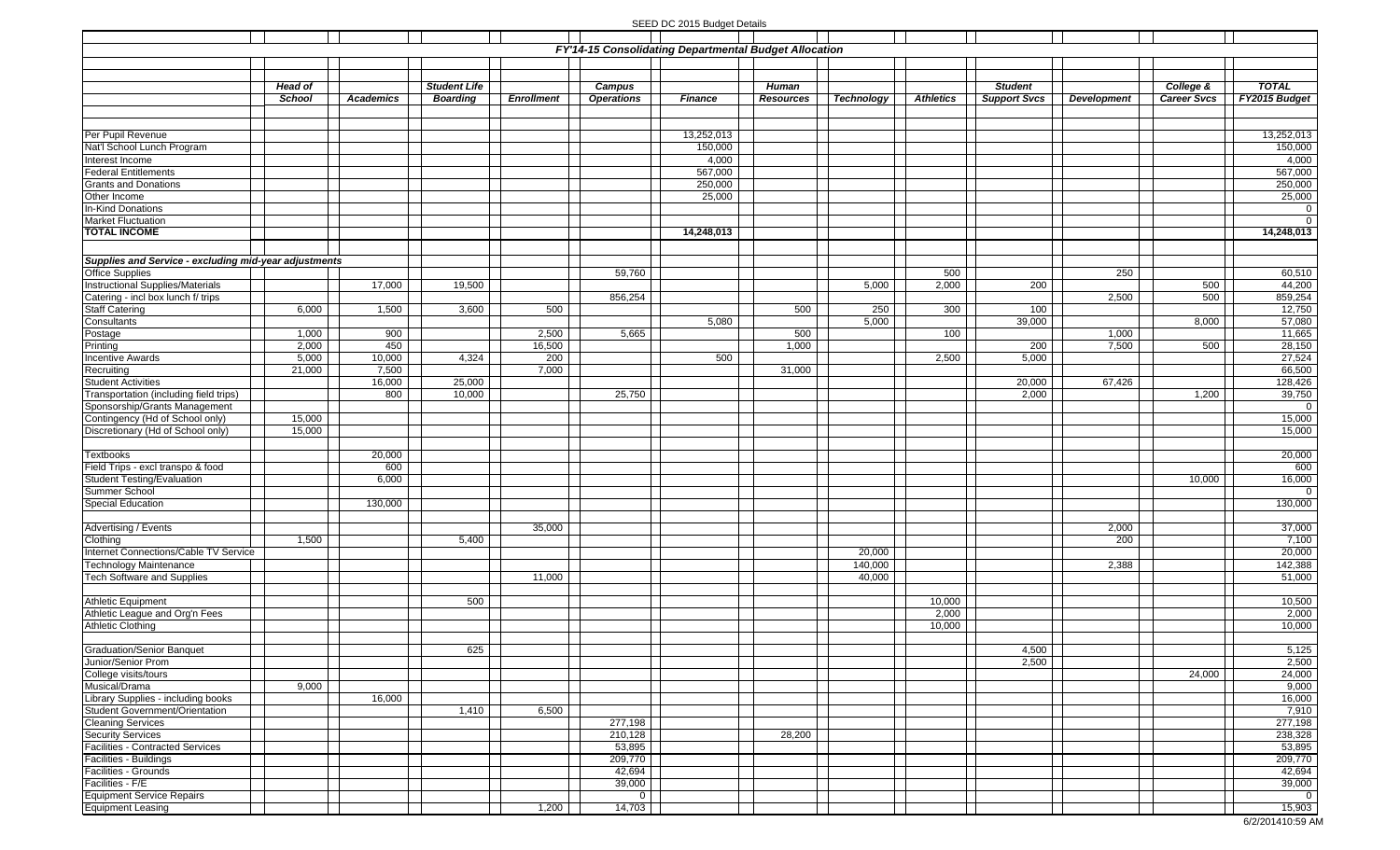## SEED DC 2015 Budget Details

| FY'14-15 Consolidating Departmental Budget Allocation             |                |                  |                     |                   |                   |                |                  |            |                  |                     |                    |                    |                              |
|-------------------------------------------------------------------|----------------|------------------|---------------------|-------------------|-------------------|----------------|------------------|------------|------------------|---------------------|--------------------|--------------------|------------------------------|
|                                                                   |                |                  |                     |                   |                   |                |                  |            |                  |                     |                    |                    |                              |
|                                                                   |                |                  |                     |                   |                   |                |                  |            |                  |                     |                    |                    |                              |
|                                                                   | <b>Head of</b> |                  | <b>Student Life</b> |                   | Campus            |                | Human            |            |                  | <b>Student</b>      |                    | College &          | <b>TOTAL</b>                 |
|                                                                   | School         | <b>Academics</b> | <b>Boarding</b>     | <b>Enrollment</b> | <b>Operations</b> | <b>Finance</b> | <b>Resources</b> | Technology | <b>Athletics</b> | <b>Support Svcs</b> | <b>Development</b> | <b>Career Svcs</b> | FY2015 Budget                |
|                                                                   |                |                  |                     |                   |                   |                |                  |            |                  |                     |                    |                    |                              |
| Per Pupil Revenue                                                 |                |                  |                     |                   |                   | 13,252,013     |                  |            |                  |                     |                    |                    | 13,252,013                   |
| Nat'l School Lunch Program                                        |                |                  |                     |                   |                   | 150,000        |                  |            |                  |                     |                    |                    | 150,000                      |
| Interest Income                                                   |                |                  |                     |                   |                   | 4,000          |                  |            |                  |                     |                    |                    | 4,000                        |
| <b>Federal Entitlements</b>                                       |                |                  |                     |                   |                   | 567,000        |                  |            |                  |                     |                    |                    | 567,000                      |
| <b>Grants and Donations</b>                                       |                |                  |                     |                   |                   | 250,000        |                  |            |                  |                     |                    |                    | 250,000                      |
| Other Income                                                      |                |                  |                     |                   |                   | 25,000         |                  |            |                  |                     |                    |                    | 25,000                       |
| <b>In-Kind Donations</b>                                          |                |                  |                     |                   |                   |                |                  |            |                  |                     |                    |                    | $\mathbf 0$                  |
| <b>Market Fluctuation</b><br><b>TOTAL INCOME</b>                  |                |                  |                     |                   |                   | 14,248,013     |                  |            |                  |                     |                    |                    | $\overline{0}$<br>14,248,013 |
|                                                                   |                |                  |                     |                   |                   |                |                  |            |                  |                     |                    |                    |                              |
|                                                                   |                |                  |                     |                   |                   |                |                  |            |                  |                     |                    |                    |                              |
| Supplies and Service - excluding mid-year adjustments             |                |                  |                     |                   | 59,760            |                |                  |            | 500              |                     | 250                |                    |                              |
| <b>Office Supplies</b><br><b>Instructional Supplies/Materials</b> |                | 17,000           | 19,500              |                   |                   |                |                  | 5,000      | 2,000            | 200                 |                    | 500                | 60,510<br>44,200             |
| Catering - incl box lunch f/ trips                                |                |                  |                     |                   | 856,254           |                |                  |            |                  |                     | 2,500              | 500                | 859,254                      |
| <b>Staff Catering</b>                                             | 6,000          | 1,500            | 3,600               | 500               |                   |                | 500              | 250        | 300              | 100                 |                    |                    | 12,750                       |
| Consultants                                                       |                |                  |                     |                   |                   | 5,080          |                  | 5,000      |                  | 39,000              |                    | 8,000              | 57,080                       |
| Postage                                                           | 1,000          | 900              |                     | 2,500             | 5,665             |                | 500              |            | 100              |                     | 1,000              |                    | 11,665                       |
| Printing                                                          | 2,000          | 450              |                     | 16,500            |                   |                | 1,000            |            |                  | 200                 | 7,500              | 500                | 28,150                       |
| Incentive Awards                                                  | 5,000          | 10,000           | 4,324               | 200               |                   | 500            |                  |            | 2,500            | 5,000               |                    |                    | 27,524                       |
| Recruiting                                                        | 21,000         | 7,500            |                     | 7,000             |                   |                | 31,000           |            |                  |                     |                    |                    | 66,500                       |
| <b>Student Activities</b>                                         |                | 16,000           | 25,000              |                   |                   |                |                  |            |                  | 20,000              | 67,426             |                    | 128,426                      |
| Transportation (including field trips)                            |                | 800              | 10,000              |                   | 25,750            |                |                  |            |                  | 2,000               |                    | 1,200              | 39,750                       |
| Sponsorship/Grants Management<br>Contingency (Hd of School only)  | 15,000         |                  |                     |                   |                   |                |                  |            |                  |                     |                    |                    | $\mathbf 0$<br>15,000        |
| Discretionary (Hd of School only)                                 | 15,000         |                  |                     |                   |                   |                |                  |            |                  |                     |                    |                    | 15,000                       |
|                                                                   |                |                  |                     |                   |                   |                |                  |            |                  |                     |                    |                    |                              |
| <b>Textbooks</b>                                                  |                | 20,000           |                     |                   |                   |                |                  |            |                  |                     |                    |                    | 20,000                       |
| Field Trips - excl transpo & food                                 |                | 600              |                     |                   |                   |                |                  |            |                  |                     |                    |                    | 600                          |
| <b>Student Testing/Evaluation</b>                                 |                | 6,000            |                     |                   |                   |                |                  |            |                  |                     |                    | 10,000             | 16,000                       |
| Summer School                                                     |                |                  |                     |                   |                   |                |                  |            |                  |                     |                    |                    | $\Omega$                     |
| <b>Special Education</b>                                          |                | 130,000          |                     |                   |                   |                |                  |            |                  |                     |                    |                    | 130,000                      |
|                                                                   |                |                  |                     |                   |                   |                |                  |            |                  |                     |                    |                    |                              |
| Advertising / Events                                              |                |                  |                     | 35,000            |                   |                |                  |            |                  |                     | 2,000              |                    | 37,000                       |
| Clothing<br>Internet Connections/Cable TV Service                 | 1,500          |                  | 5,400               |                   |                   |                |                  | 20,000     |                  |                     | 200                |                    | 7,100<br>20,000              |
| <b>Technology Maintenance</b>                                     |                |                  |                     |                   |                   |                |                  | 140,000    |                  |                     | 2,388              |                    | 142,388                      |
| <b>Tech Software and Supplies</b>                                 |                |                  |                     | 11,000            |                   |                |                  | 40,000     |                  |                     |                    |                    | 51,000                       |
|                                                                   |                |                  |                     |                   |                   |                |                  |            |                  |                     |                    |                    |                              |
| <b>Athletic Equipment</b>                                         |                |                  | 500                 |                   |                   |                |                  |            | 10,000           |                     |                    |                    | 10,500                       |
| Athletic League and Org'n Fees                                    |                |                  |                     |                   |                   |                |                  |            | 2,000            |                     |                    |                    | 2,000                        |
| <b>Athletic Clothing</b>                                          |                |                  |                     |                   |                   |                |                  |            | 10,000           |                     |                    |                    | 10,000                       |
|                                                                   |                |                  |                     |                   |                   |                |                  |            |                  |                     |                    |                    |                              |
| Graduation/Senior Banquet                                         |                |                  | 625                 |                   |                   |                |                  |            |                  | 4,500               |                    |                    | 5,125                        |
| Junior/Senior Prom<br>College visits/tours                        |                |                  |                     |                   |                   |                |                  |            |                  | 2,500               |                    |                    | 2,500<br>24,000              |
| Musical/Drama                                                     | 9,000          |                  |                     |                   |                   |                |                  |            |                  |                     |                    | 24,000             | 9,000                        |
| Library Supplies - including books                                |                | 16,000           |                     |                   |                   |                |                  |            |                  |                     |                    |                    | 16,000                       |
| <b>Student Government/Orientation</b>                             |                |                  | 1,410               | 6,500             |                   |                |                  |            |                  |                     |                    |                    | 7,910                        |
| <b>Cleaning Services</b>                                          |                |                  |                     |                   | 277,198           |                |                  |            |                  |                     |                    |                    | 277,198                      |
| Security Services                                                 |                |                  |                     |                   | 210,128           |                | 28,200           |            |                  |                     |                    |                    | 238,328                      |
| <b>Facilities - Contracted Services</b>                           |                |                  |                     |                   | 53,895            |                |                  |            |                  |                     |                    |                    | 53,895                       |
| Facilities - Buildings                                            |                |                  |                     |                   | 209,770           |                |                  |            |                  |                     |                    |                    | 209,770                      |
| Facilities - Grounds                                              |                |                  |                     |                   | 42,694            |                |                  |            |                  |                     |                    |                    | 42,694                       |
| Facilities - F/E                                                  |                |                  |                     |                   | 39,000            |                |                  |            |                  |                     |                    |                    | 39,000                       |
| <b>Equipment Service Repairs</b>                                  |                |                  |                     |                   | 0                 |                |                  |            |                  |                     |                    |                    | $\mathbf{0}$                 |
| <b>Equipment Leasing</b>                                          |                |                  |                     | 1,200             | 14,703            |                |                  |            |                  |                     |                    |                    | 15,903                       |